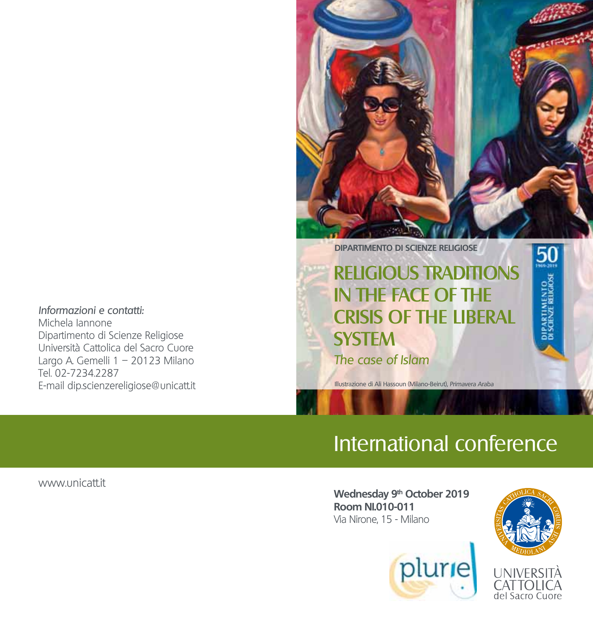Informazioni e contatti: Michela Iannone Dipartimento di Scienze Religiose Università Cattolica del Sacro Cuore Largo A. Gemelli 1 – 20123 Milano Tel. 02-7234.2287 E-mail dip.scienzereligiose@unicatt.it



**DIPARTIMENTO DI SCIENZE RELIGIOSE**

## RELIGIOUS TRADITIONS IN THE FACE OF THE CRISIS OF THE LIBERAL **SYSTEM** The case of Islam

Illustrazione di Ali Hassoun (Milano-Beirut), Primavera Araba

# International conference

www.unicatt.it

Wednesday 9<sup>th</sup> October 2019 **Room NI.010-011** Via Nirone, 15 - Milano



del Sacro Cuore

50

PARTIMENTO<br>SCIENZE RELIGIOSE